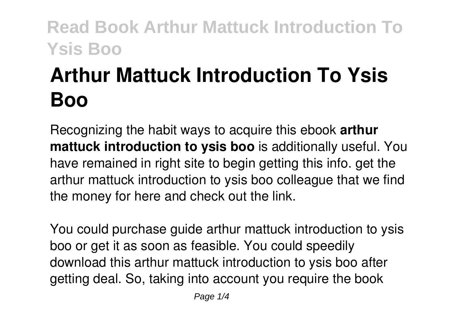# **Arthur Mattuck Introduction To Ysis Boo**

Recognizing the habit ways to acquire this ebook **arthur mattuck introduction to ysis boo** is additionally useful. You have remained in right site to begin getting this info. get the arthur mattuck introduction to ysis boo colleague that we find the money for here and check out the link.

You could purchase guide arthur mattuck introduction to ysis boo or get it as soon as feasible. You could speedily download this arthur mattuck introduction to ysis boo after getting deal. So, taking into account you require the book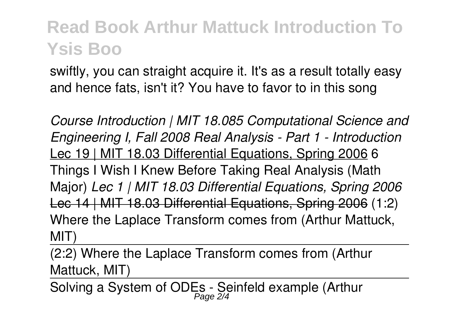swiftly, you can straight acquire it. It's as a result totally easy and hence fats, isn't it? You have to favor to in this song

*Course Introduction | MIT 18.085 Computational Science and Engineering I, Fall 2008 Real Analysis - Part 1 - Introduction* Lec 19 | MIT 18.03 Differential Equations, Spring 2006 6 Things I Wish I Knew Before Taking Real Analysis (Math Major) *Lec 1 | MIT 18.03 Differential Equations, Spring 2006* Lec 14 | MIT 18.03 Differential Equations, Spring 2006 (1:2) Where the Laplace Transform comes from (Arthur Mattuck, MIT)

(2:2) Where the Laplace Transform comes from (Arthur Mattuck, MIT)

Solving a System of ODEs - Seinfeld example (Arthur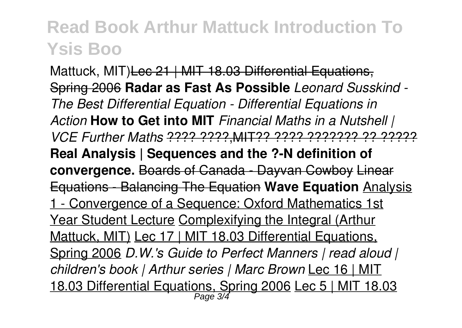Mattuck, MIT) Lec 21 | MIT 18.03 Differential Equations, Spring 2006 **Radar as Fast As Possible** *Leonard Susskind - The Best Differential Equation - Differential Equations in Action* **How to Get into MIT** *Financial Maths in a Nutshell | VCE Further Maths* ???? ????,MIT?? ???? ??????? ?? ????? **Real Analysis | Sequences and the ?-N definition of convergence.** Boards of Canada - Dayvan Cowboy Linear Equations - Balancing The Equation **Wave Equation** Analysis 1 - Convergence of a Sequence: Oxford Mathematics 1st Year Student Lecture Complexifying the Integral (Arthur Mattuck, MIT) Lec 17 | MIT 18.03 Differential Equations, Spring 2006 *D.W.'s Guide to Perfect Manners | read aloud | children's book | Arthur series | Marc Brown* Lec 16 | MIT 18.03 Differential Equations, Spring 2006 Lec 5 | MIT 18.03